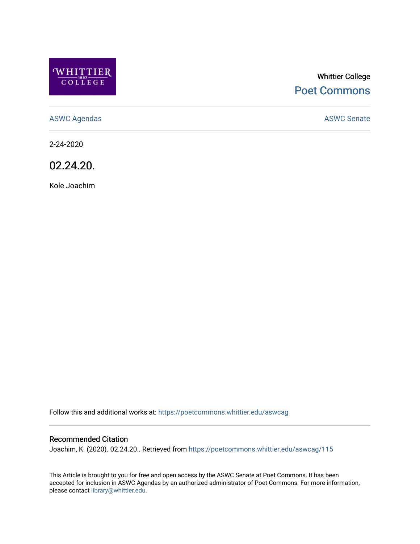

# Whittier College [Poet Commons](https://poetcommons.whittier.edu/)

[ASWC Agendas](https://poetcommons.whittier.edu/aswcag) **ASWC Senate** 

2-24-2020

02.24.20.

Kole Joachim

Follow this and additional works at: [https://poetcommons.whittier.edu/aswcag](https://poetcommons.whittier.edu/aswcag?utm_source=poetcommons.whittier.edu%2Faswcag%2F115&utm_medium=PDF&utm_campaign=PDFCoverPages) 

# Recommended Citation

Joachim, K. (2020). 02.24.20.. Retrieved from [https://poetcommons.whittier.edu/aswcag/115](https://poetcommons.whittier.edu/aswcag/115?utm_source=poetcommons.whittier.edu%2Faswcag%2F115&utm_medium=PDF&utm_campaign=PDFCoverPages) 

This Article is brought to you for free and open access by the ASWC Senate at Poet Commons. It has been accepted for inclusion in ASWC Agendas by an authorized administrator of Poet Commons. For more information, please contact [library@whittier.edu](mailto:library@whittier.edu).